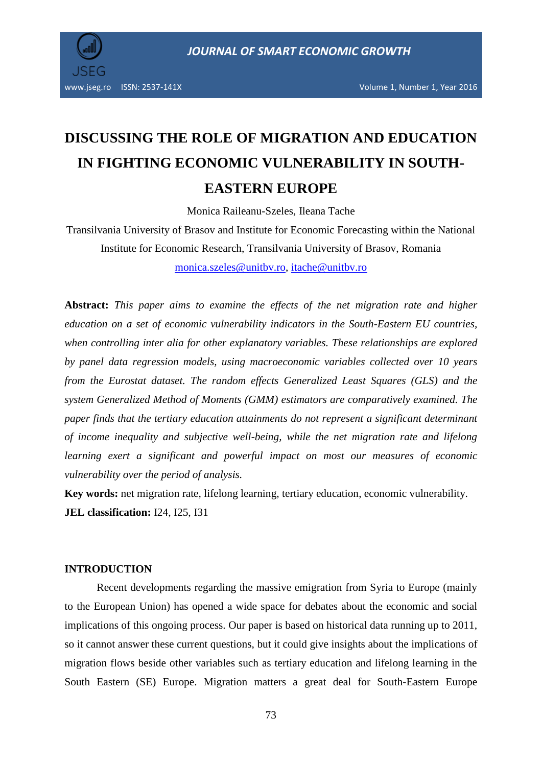

www.jseg.ro ISSN: 2537-141X Volume 1, Number 1, Year 2016

# **DISCUSSING THE ROLE OF MIGRATION AND EDUCATION IN FIGHTING ECONOMIC VULNERABILITY IN SOUTH-EASTERN EUROPE**

Monica Raileanu-Szeles, Ileana Tache

Transilvania University of Brasov and Institute for Economic Forecasting within the National Institute for Economic Research, Transilvania University of Brasov, Romania [monica.szeles@unitbv.ro,](mailto:monica.szeles@unitbv.ro) [itache@unitbv.ro](mailto:itache@unitbv.ro)

**Abstract:** *This paper aims to examine the effects of the net migration rate and higher education on a set of economic vulnerability indicators in the South-Eastern EU countries, when controlling inter alia for other explanatory variables. These relationships are explored by panel data regression models, using macroeconomic variables collected over 10 years from the Eurostat dataset. The random effects Generalized Least Squares (GLS) and the system Generalized Method of Moments (GMM) estimators are comparatively examined. The paper finds that the tertiary education attainments do not represent a significant determinant of income inequality and subjective well-being, while the net migration rate and lifelong learning exert a significant and powerful impact on most our measures of economic vulnerability over the period of analysis.*

**Key words:** net migration rate, lifelong learning, tertiary education, economic vulnerability. **JEL classification:** I24, I25, I31

## **INTRODUCTION**

Recent developments regarding the massive emigration from Syria to Europe (mainly to the European Union) has opened a wide space for debates about the economic and social implications of this ongoing process. Our paper is based on historical data running up to 2011, so it cannot answer these current questions, but it could give insights about the implications of migration flows beside other variables such as tertiary education and lifelong learning in the South Eastern (SE) Europe. Migration matters a great deal for South-Eastern Europe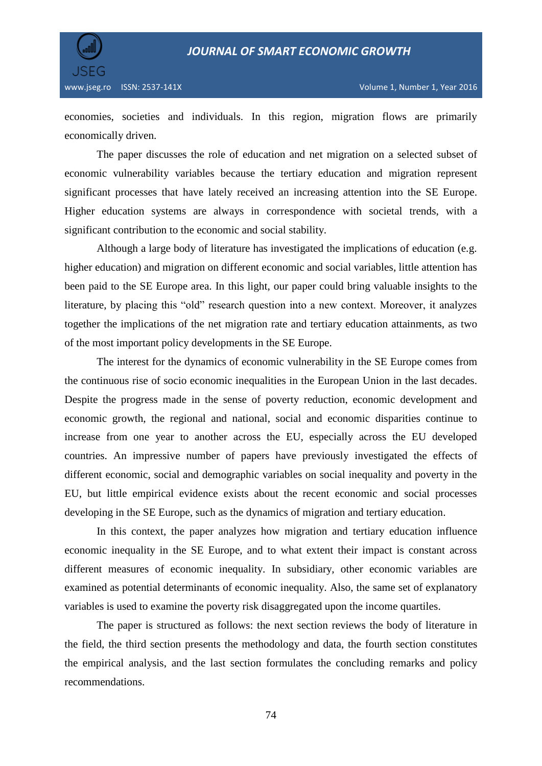

economies, societies and individuals. In this region, migration flows are primarily economically driven.

The paper discusses the role of education and net migration on a selected subset of economic vulnerability variables because the tertiary education and migration represent significant processes that have lately received an increasing attention into the SE Europe. Higher education systems are always in correspondence with societal trends, with a significant contribution to the economic and social stability.

Although a large body of literature has investigated the implications of education (e.g. higher education) and migration on different economic and social variables, little attention has been paid to the SE Europe area. In this light, our paper could bring valuable insights to the literature, by placing this "old" research question into a new context. Moreover, it analyzes together the implications of the net migration rate and tertiary education attainments, as two of the most important policy developments in the SE Europe.

The interest for the dynamics of economic vulnerability in the SE Europe comes from the continuous rise of socio economic inequalities in the European Union in the last decades. Despite the progress made in the sense of poverty reduction, economic development and economic growth, the regional and national, social and economic disparities continue to increase from one year to another across the EU, especially across the EU developed countries. An impressive number of papers have previously investigated the effects of different economic, social and demographic variables on social inequality and poverty in the EU, but little empirical evidence exists about the recent economic and social processes developing in the SE Europe, such as the dynamics of migration and tertiary education.

In this context, the paper analyzes how migration and tertiary education influence economic inequality in the SE Europe, and to what extent their impact is constant across different measures of economic inequality. In subsidiary, other economic variables are examined as potential determinants of economic inequality. Also, the same set of explanatory variables is used to examine the poverty risk disaggregated upon the income quartiles.

The paper is structured as follows: the next section reviews the body of literature in the field, the third section presents the methodology and data, the fourth section constitutes the empirical analysis, and the last section formulates the concluding remarks and policy recommendations.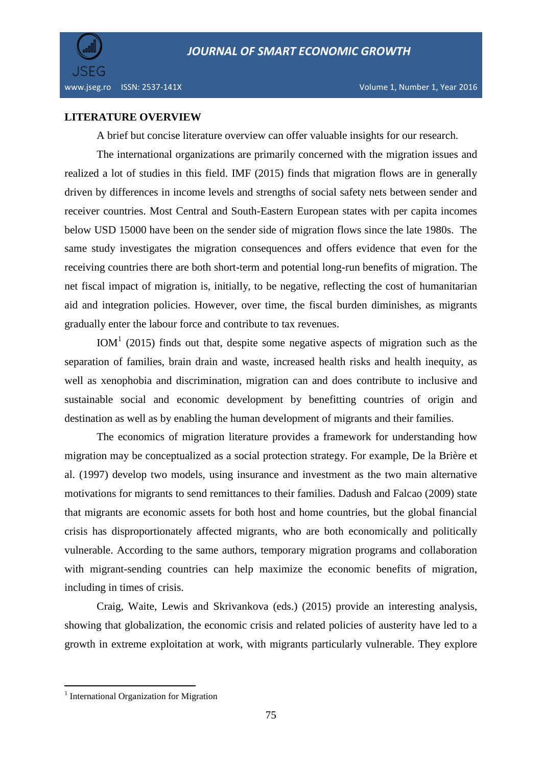

# **LITERATURE OVERVIEW**

A brief but concise literature overview can offer valuable insights for our research.

The international organizations are primarily concerned with the migration issues and realized a lot of studies in this field. IMF (2015) finds that migration flows are in generally driven by differences in income levels and strengths of social safety nets between sender and receiver countries. Most Central and South-Eastern European states with per capita incomes below USD 15000 have been on the sender side of migration flows since the late 1980s. The same study investigates the migration consequences and offers evidence that even for the receiving countries there are both short-term and potential long-run benefits of migration. The net fiscal impact of migration is, initially, to be negative, reflecting the cost of humanitarian aid and integration policies. However, over time, the fiscal burden diminishes, as migrants gradually enter the labour force and contribute to tax revenues.

IOM<sup>1</sup> (2015) finds out that, despite some negative aspects of migration such as the separation of families, brain drain and waste, increased health risks and health inequity, as well as xenophobia and discrimination, migration can and does contribute to inclusive and sustainable social and economic development by benefitting countries of origin and destination as well as by enabling the human development of migrants and their families.

The economics of migration literature provides a framework for understanding how migration may be conceptualized as a social protection strategy. For example, De la Brière et al. (1997) develop two models, using insurance and investment as the two main alternative motivations for migrants to send remittances to their families. Dadush and Falcao (2009) state that migrants are economic assets for both host and home countries, but the global financial crisis has disproportionately affected migrants, who are both economically and politically vulnerable. According to the same authors, temporary migration programs and collaboration with migrant-sending countries can help maximize the economic benefits of migration, including in times of crisis.

Craig, Waite, Lewis and Skrivankova (eds.) (2015) provide an interesting analysis, showing that globalization, the economic crisis and related policies of austerity have led to a growth in extreme exploitation at work, with migrants particularly vulnerable. They explore

 $\overline{a}$ 

<sup>&</sup>lt;sup>1</sup> International Organization for Migration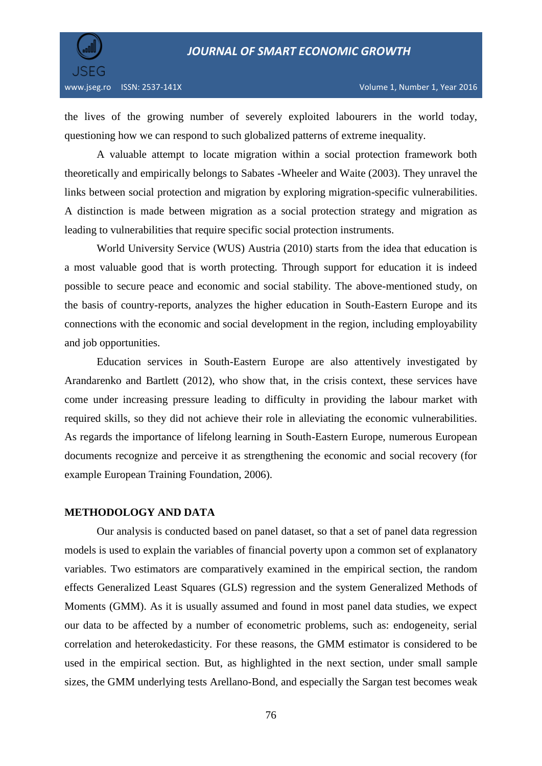

the lives of the growing number of severely exploited labourers in the world today, questioning how we can respond to such globalized patterns of extreme inequality.

A valuable attempt to locate migration within a social protection framework both theoretically and empirically belongs to Sabates -Wheeler and Waite (2003). They unravel the links between social protection and migration by exploring migration-specific vulnerabilities. A distinction is made between migration as a social protection strategy and migration as leading to vulnerabilities that require specific social protection instruments.

World University Service (WUS) Austria (2010) starts from the idea that education is a most valuable good that is worth protecting. Through support for education it is indeed possible to secure peace and economic and social stability. The above-mentioned study, on the basis of country-reports, analyzes the higher education in South-Eastern Europe and its connections with the economic and social development in the region, including employability and job opportunities.

Education services in South-Eastern Europe are also attentively investigated by Arandarenko and Bartlett (2012), who show that, in the crisis context, these services have come under increasing pressure leading to difficulty in providing the labour market with required skills, so they did not achieve their role in alleviating the economic vulnerabilities. As regards the importance of lifelong learning in South-Eastern Europe, numerous European documents recognize and perceive it as strengthening the economic and social recovery (for example European Training Foundation, 2006).

### **METHODOLOGY AND DATA**

Our analysis is conducted based on panel dataset, so that a set of panel data regression models is used to explain the variables of financial poverty upon a common set of explanatory variables. Two estimators are comparatively examined in the empirical section, the random effects Generalized Least Squares (GLS) regression and the system Generalized Methods of Moments (GMM). As it is usually assumed and found in most panel data studies, we expect our data to be affected by a number of econometric problems, such as: endogeneity, serial correlation and heterokedasticity. For these reasons, the GMM estimator is considered to be used in the empirical section. But, as highlighted in the next section, under small sample sizes, the GMM underlying tests Arellano-Bond, and especially the Sargan test becomes weak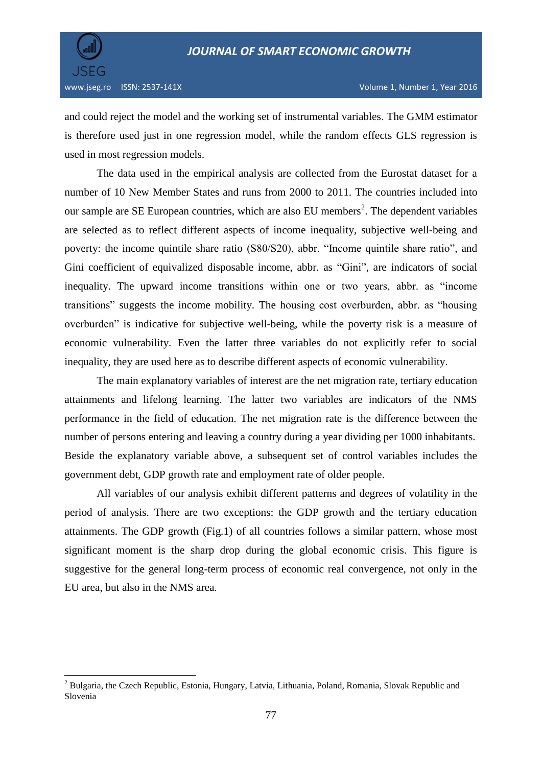

 $\overline{a}$ 

and could reject the model and the working set of instrumental variables. The GMM estimator is therefore used just in one regression model, while the random effects GLS regression is used in most regression models.

The data used in the empirical analysis are collected from the Eurostat dataset for a number of 10 New Member States and runs from 2000 to 2011. The countries included into our sample are SE European countries, which are also EU members<sup>2</sup>. The dependent variables are selected as to reflect different aspects of income inequality, subjective well-being and poverty: the income quintile share ratio (S80/S20), abbr. "Income quintile share ratio", and Gini coefficient of equivalized disposable income, abbr. as "Gini", are indicators of social inequality. The upward income transitions within one or two years, abbr. as "income transitions" suggests the income mobility. The housing cost overburden, abbr. as "housing overburden" is indicative for subjective well-being, while the poverty risk is a measure of economic vulnerability. Even the latter three variables do not explicitly refer to social inequality, they are used here as to describe different aspects of economic vulnerability.

The main explanatory variables of interest are the net migration rate, tertiary education attainments and lifelong learning. The latter two variables are indicators of the NMS performance in the field of education. The net migration rate is the difference between the number of persons entering and leaving a country during a year dividing per 1000 inhabitants. Beside the explanatory variable above, a subsequent set of control variables includes the government debt, GDP growth rate and employment rate of older people.

All variables of our analysis exhibit different patterns and degrees of volatility in the period of analysis. There are two exceptions: the GDP growth and the tertiary education attainments. The GDP growth (Fig.1) of all countries follows a similar pattern, whose most significant moment is the sharp drop during the global economic crisis. This figure is suggestive for the general long-term process of economic real convergence, not only in the EU area, but also in the NMS area.

<sup>&</sup>lt;sup>2</sup> Bulgaria, the Czech Republic, Estonia, Hungary, Latvia, Lithuania, Poland, Romania, Slovak Republic and Slovenia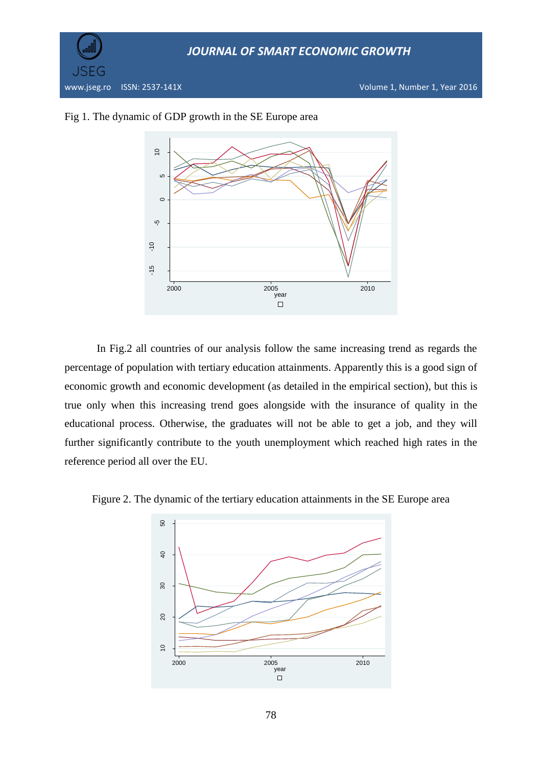



Fig 1. The dynamic of GDP growth in the SE Europe area

In Fig.2 all countries of our analysis follow the same increasing trend as regards the percentage of population with tertiary education attainments. Apparently this is a good sign of economic growth and economic development (as detailed in the empirical section), but this is true only when this increasing trend goes alongside with the insurance of quality in the educational process. Otherwise, the graduates will not be able to get a job, and they will further significantly contribute to the youth unemployment which reached high rates in the reference period all over the EU.



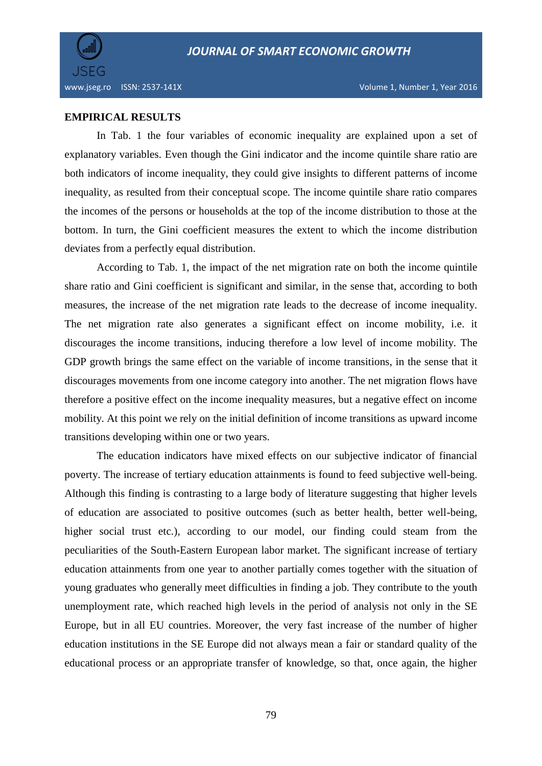

## **EMPIRICAL RESULTS**

In Tab. 1 the four variables of economic inequality are explained upon a set of explanatory variables. Even though the Gini indicator and the income quintile share ratio are both indicators of income inequality, they could give insights to different patterns of income inequality, as resulted from their conceptual scope. The income quintile share ratio compares the incomes of the persons or households at the top of the income distribution to those at the bottom. In turn, the Gini coefficient measures the extent to which the income distribution deviates from a perfectly equal distribution.

According to Tab. 1, the impact of the net migration rate on both the income quintile share ratio and Gini coefficient is significant and similar, in the sense that, according to both measures, the increase of the net migration rate leads to the decrease of income inequality. The net migration rate also generates a significant effect on income mobility, i.e. it discourages the income transitions, inducing therefore a low level of income mobility. The GDP growth brings the same effect on the variable of income transitions, in the sense that it discourages movements from one income category into another. The net migration flows have therefore a positive effect on the income inequality measures, but a negative effect on income mobility. At this point we rely on the initial definition of income transitions as upward income transitions developing within one or two years.

The education indicators have mixed effects on our subjective indicator of financial poverty. The increase of tertiary education attainments is found to feed subjective well-being. Although this finding is contrasting to a large body of literature suggesting that higher levels of education are associated to positive outcomes (such as better health, better well-being, higher social trust etc.), according to our model, our finding could steam from the peculiarities of the South-Eastern European labor market. The significant increase of tertiary education attainments from one year to another partially comes together with the situation of young graduates who generally meet difficulties in finding a job. They contribute to the youth unemployment rate, which reached high levels in the period of analysis not only in the SE Europe, but in all EU countries. Moreover, the very fast increase of the number of higher education institutions in the SE Europe did not always mean a fair or standard quality of the educational process or an appropriate transfer of knowledge, so that, once again, the higher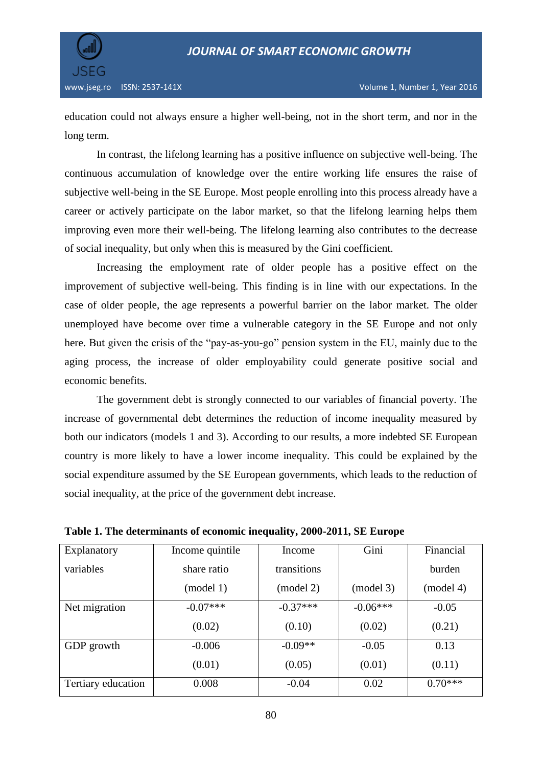

education could not always ensure a higher well-being, not in the short term, and nor in the long term.

In contrast, the lifelong learning has a positive influence on subjective well-being. The continuous accumulation of knowledge over the entire working life ensures the raise of subjective well-being in the SE Europe. Most people enrolling into this process already have a career or actively participate on the labor market, so that the lifelong learning helps them improving even more their well-being. The lifelong learning also contributes to the decrease of social inequality, but only when this is measured by the Gini coefficient.

Increasing the employment rate of older people has a positive effect on the improvement of subjective well-being. This finding is in line with our expectations. In the case of older people, the age represents a powerful barrier on the labor market. The older unemployed have become over time a vulnerable category in the SE Europe and not only here. But given the crisis of the "pay-as-you-go" pension system in the EU, mainly due to the aging process, the increase of older employability could generate positive social and economic benefits.

The government debt is strongly connected to our variables of financial poverty. The increase of governmental debt determines the reduction of income inequality measured by both our indicators (models 1 and 3). According to our results, a more indebted SE European country is more likely to have a lower income inequality. This could be explained by the social expenditure assumed by the SE European governments, which leads to the reduction of social inequality, at the price of the government debt increase.

| Explanatory        | Income quintile | Income      | Gini       | Financial |
|--------------------|-----------------|-------------|------------|-----------|
| variables          | share ratio     | transitions |            | burden    |
|                    | (mod 1)         | (model 2)   | (model 3)  | (mod 4)   |
| Net migration      | $-0.07***$      | $-0.37***$  | $-0.06***$ | $-0.05$   |
|                    | (0.02)          | (0.10)      | (0.02)     | (0.21)    |
| GDP growth         | $-0.006$        | $-0.09**$   | $-0.05$    | 0.13      |
|                    | (0.01)          | (0.05)      | (0.01)     | (0.11)    |
| Tertiary education | 0.008           | $-0.04$     | 0.02       | $0.70***$ |

**Table 1. The determinants of economic inequality, 2000-2011, SE Europe**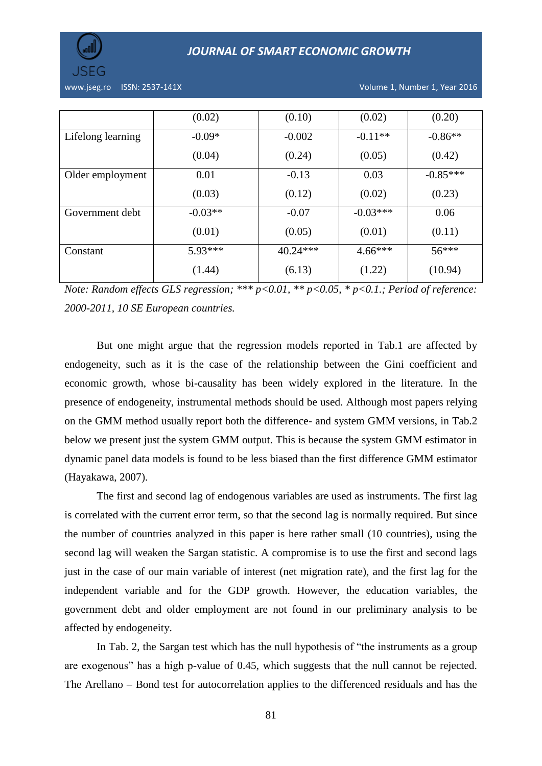

www.jseg.ro ISSN: 2537-141X Volume 1, Number 1, Year 2016

|                   | (0.02)    | (0.10)   | (0.02)     | (0.20)     |
|-------------------|-----------|----------|------------|------------|
| Lifelong learning | $-0.09*$  | $-0.002$ | $-0.11**$  | $-0.86**$  |
|                   | (0.04)    | (0.24)   | (0.05)     | (0.42)     |
| Older employment  | 0.01      | $-0.13$  | 0.03       | $-0.85***$ |
|                   | (0.03)    | (0.12)   | (0.02)     | (0.23)     |
| Government debt   | $-0.03**$ | $-0.07$  | $-0.03***$ | 0.06       |
|                   | (0.01)    | (0.05)   | (0.01)     | (0.11)     |
| Constant          | $5.93***$ | 40.24*** | $4.66***$  | $56***$    |
|                   | (1.44)    | (6.13)   | (1.22)     | (10.94)    |

*Note: Random effects GLS regression; \*\*\* p<0.01, \*\* p<0.05, \* p<0.1.; Period of reference: 2000-2011, 10 SE European countries.*

But one might argue that the regression models reported in Tab.1 are affected by endogeneity, such as it is the case of the relationship between the Gini coefficient and economic growth, whose bi-causality has been widely explored in the literature. In the presence of endogeneity, instrumental methods should be used. Although most papers relying on the GMM method usually report both the difference- and system GMM versions, in Tab.2 below we present just the system GMM output. This is because the system GMM estimator in dynamic panel data models is found to be less biased than the first difference GMM estimator (Hayakawa, 2007).

The first and second lag of endogenous variables are used as instruments. The first lag is correlated with the current error term, so that the second lag is normally required. But since the number of countries analyzed in this paper is here rather small (10 countries), using the second lag will weaken the Sargan statistic. A compromise is to use the first and second lags just in the case of our main variable of interest (net migration rate), and the first lag for the independent variable and for the GDP growth. However, the education variables, the government debt and older employment are not found in our preliminary analysis to be affected by endogeneity.

In Tab. 2, the Sargan test which has the null hypothesis of "the instruments as a group are exogenous" has a high p-value of 0.45, which suggests that the null cannot be rejected. The Arellano – Bond test for autocorrelation applies to the differenced residuals and has the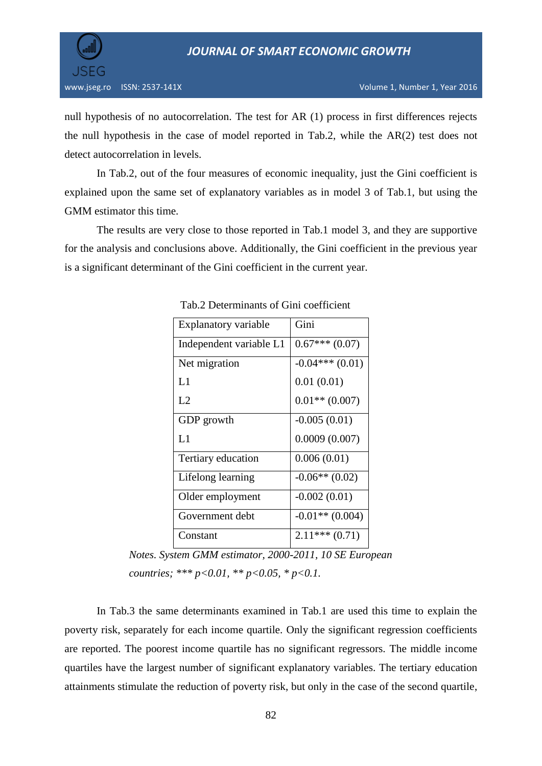

null hypothesis of no autocorrelation. The test for AR (1) process in first differences rejects the null hypothesis in the case of model reported in Tab.2, while the AR(2) test does not detect autocorrelation in levels.

In Tab.2, out of the four measures of economic inequality, just the Gini coefficient is explained upon the same set of explanatory variables as in model 3 of Tab.1, but using the GMM estimator this time.

The results are very close to those reported in Tab.1 model 3, and they are supportive for the analysis and conclusions above. Additionally, the Gini coefficient in the previous year is a significant determinant of the Gini coefficient in the current year.

| Explanatory variable    | Gini              |  |
|-------------------------|-------------------|--|
| Independent variable L1 | $0.67***(0.07)$   |  |
| Net migration           | $-0.04***(0.01)$  |  |
| L1                      | 0.01(0.01)        |  |
| L2                      | $0.01**$ (0.007)  |  |
| GDP growth              | $-0.005(0.01)$    |  |
| L1                      | 0.0009(0.007)     |  |
| Tertiary education      | 0.006(0.01)       |  |
| Lifelong learning       | $-0.06**$ (0.02)  |  |
| Older employment        | $-0.002(0.01)$    |  |
| Government debt         | $-0.01**$ (0.004) |  |
| Constant                | $2.11***(0.71)$   |  |

Tab.2 Determinants of Gini coefficient

*Notes. System GMM estimator, 2000-2011, 10 SE European countries; \*\*\* p<0.01, \*\* p<0.05, \* p<0.1.*

In Tab.3 the same determinants examined in Tab.1 are used this time to explain the poverty risk, separately for each income quartile. Only the significant regression coefficients are reported. The poorest income quartile has no significant regressors. The middle income quartiles have the largest number of significant explanatory variables. The tertiary education attainments stimulate the reduction of poverty risk, but only in the case of the second quartile,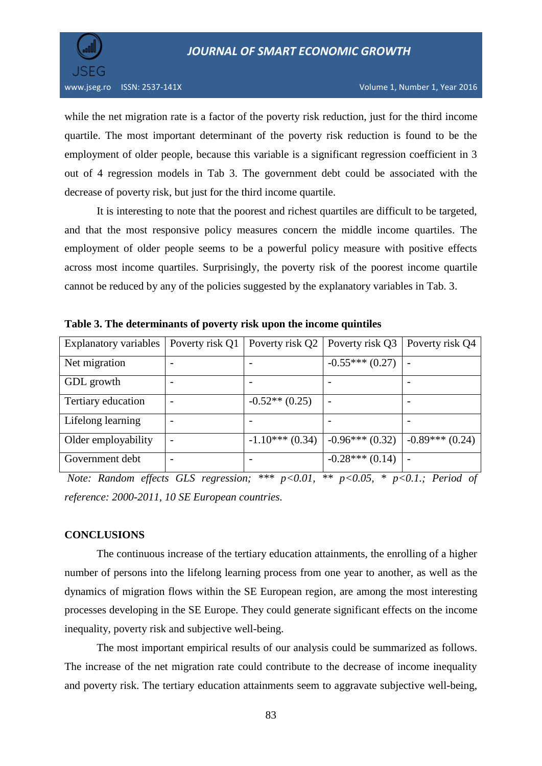

while the net migration rate is a factor of the poverty risk reduction, just for the third income quartile. The most important determinant of the poverty risk reduction is found to be the employment of older people, because this variable is a significant regression coefficient in 3 out of 4 regression models in Tab 3. The government debt could be associated with the decrease of poverty risk, but just for the third income quartile.

It is interesting to note that the poorest and richest quartiles are difficult to be targeted, and that the most responsive policy measures concern the middle income quartiles. The employment of older people seems to be a powerful policy measure with positive effects across most income quartiles. Surprisingly, the poverty risk of the poorest income quartile cannot be reduced by any of the policies suggested by the explanatory variables in Tab. 3.

| <b>Explanatory variables</b> | Poverty risk Q1 | Poverty risk Q2  | Poverty risk Q3  | Poverty risk Q4  |
|------------------------------|-----------------|------------------|------------------|------------------|
| Net migration                |                 |                  | $-0.55***(0.27)$ |                  |
| GDL growth                   |                 |                  |                  |                  |
| Tertiary education           |                 | $-0.52**$ (0.25) |                  |                  |
| Lifelong learning            |                 |                  |                  |                  |
| Older employability          |                 | $-1.10***(0.34)$ | $-0.96***(0.32)$ | $-0.89***(0.24)$ |
| Government debt              |                 |                  | $-0.28***(0.14)$ |                  |

**Table 3. The determinants of poverty risk upon the income quintiles**

*Note: Random effects GLS regression; \*\*\* p<0.01, \*\* p<0.05, \* p<0.1.; Period of reference: 2000-2011, 10 SE European countries.*

#### **CONCLUSIONS**

The continuous increase of the tertiary education attainments, the enrolling of a higher number of persons into the lifelong learning process from one year to another, as well as the dynamics of migration flows within the SE European region, are among the most interesting processes developing in the SE Europe. They could generate significant effects on the income inequality, poverty risk and subjective well-being.

The most important empirical results of our analysis could be summarized as follows. The increase of the net migration rate could contribute to the decrease of income inequality and poverty risk. The tertiary education attainments seem to aggravate subjective well-being,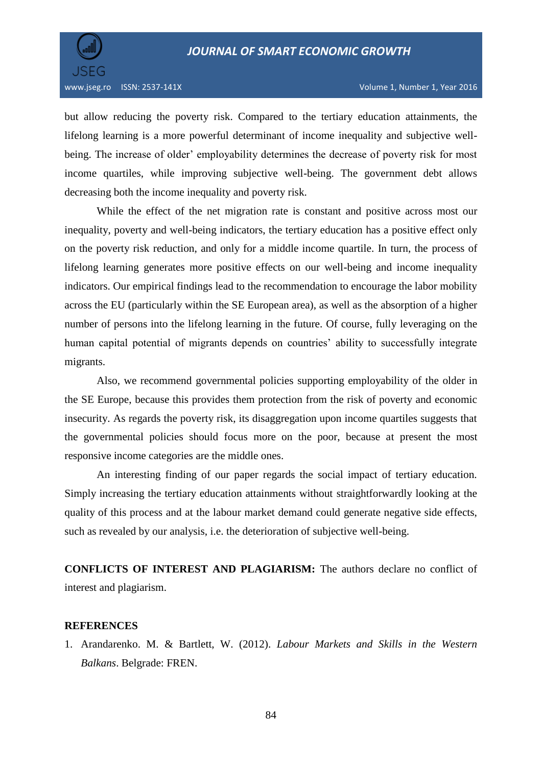

but allow reducing the poverty risk. Compared to the tertiary education attainments, the lifelong learning is a more powerful determinant of income inequality and subjective wellbeing. The increase of older' employability determines the decrease of poverty risk for most income quartiles, while improving subjective well-being. The government debt allows decreasing both the income inequality and poverty risk.

While the effect of the net migration rate is constant and positive across most our inequality, poverty and well-being indicators, the tertiary education has a positive effect only on the poverty risk reduction, and only for a middle income quartile. In turn, the process of lifelong learning generates more positive effects on our well-being and income inequality indicators. Our empirical findings lead to the recommendation to encourage the labor mobility across the EU (particularly within the SE European area), as well as the absorption of a higher number of persons into the lifelong learning in the future. Of course, fully leveraging on the human capital potential of migrants depends on countries' ability to successfully integrate migrants.

Also, we recommend governmental policies supporting employability of the older in the SE Europe, because this provides them protection from the risk of poverty and economic insecurity. As regards the poverty risk, its disaggregation upon income quartiles suggests that the governmental policies should focus more on the poor, because at present the most responsive income categories are the middle ones.

An interesting finding of our paper regards the social impact of tertiary education. Simply increasing the tertiary education attainments without straightforwardly looking at the quality of this process and at the labour market demand could generate negative side effects, such as revealed by our analysis, i.e. the deterioration of subjective well-being.

**CONFLICTS OF INTEREST AND PLAGIARISM:** The authors declare no conflict of interest and plagiarism.

## **REFERENCES**

1. Arandarenko. M. & Bartlett, W. (2012). *Labour Markets and Skills in the Western Balkans*. Belgrade: FREN.